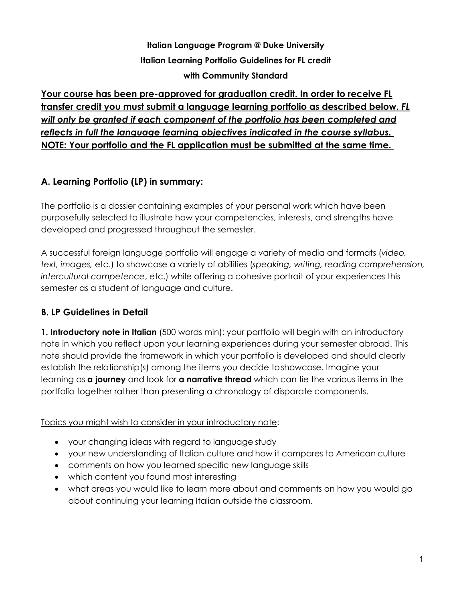**Italian Language Program @ Duke University Italian Learning Portfolio Guidelines for FL credit with Community Standard**

**Your course has been pre-approved for graduation credit. In order to receive FL transfer credit you must submit a language learning portfolio as described below.** *FL will only be granted if each component of the portfolio has been completed and reflects in full the language learning objectives indicated in the course syllabus.* **NOTE: Your portfolio and the FL application must be submitted at the same time.** 

# **A. Learning Portfolio (LP) in summary:**

The portfolio is a dossier containing examples of your personal work which have been purposefully selected to illustrate how your competencies, interests, and strengths have developed and progressed throughout the semester.

A successful foreign language portfolio will engage a variety of media and formats (*video, text, images,* etc.) to showcase a variety of abilities (*speaking, writing, reading comprehension, intercultural competence*, etc.) while offering a cohesive portrait of your experiences this semester as a student of language and culture.

# **B. LP Guidelines in Detail**

**1. Introductory note in Italian** (500 words min): your portfolio will begin with an introductory note in which you reflect upon your learning experiences during your semester abroad. This note should provide the framework in which your portfolio is developed and should clearly establish the relationship(s) among the items you decide toshowcase. Imagine your learning as **a journey** and look for **a narrative thread** which can tie the various items in the portfolio together rather than presenting a chronology of disparate components.

#### Topics you might wish to consider in your introductory note:

- your changing ideas with regard to language study
- your new understanding of Italian culture and how it compares to American culture
- comments on how you learned specific new language skills
- which content you found most interesting
- what areas you would like to learn more about and comments on how you would go about continuing your learning Italian outside the classroom.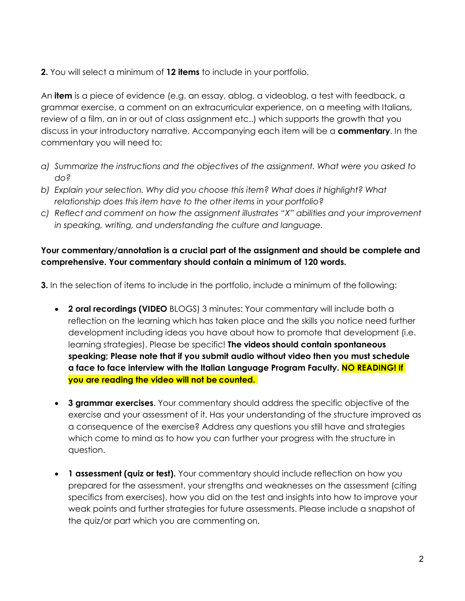**2.** You will select a minimum of **12 items** to include in your portfolio.

An **item** is a piece of evidence (e.g. an essay, ablog, a videoblog, a test with feedback, a grammar exercise, a comment on an extracurricular experience, on a meeting with Italians, review of a film, an in or out of class assignment etc..) which supports the growth that you discuss in your introductory narrative. Accompanying each item will be a **commentary**. In the commentary you will need to:

- *a) Summarize the instructions and the objectives of the assignment. What were you asked to do?*
- *b) Explain your selection. Why did you choose this item? What does it highlight? What relationship does this item have to the other items in your portfolio?*
- *c) Reflect and comment on how the assignment illustrates "X" abilities and your improvement in speaking, writing, and understanding the culture and language.*

### **Your commentary/annotation is a crucial part of the assignment and should be complete and comprehensive. Your commentary should contain a minimum of 120 words.**

**3.** In the selection of items to include in the portfolio, include a minimum of the following:

- **2 oral recordings (VIDEO** BLOGS) 3 minutes: Your commentary will include both a reflection on the learning which has taken place and the skills you notice need further development including ideas you have about how to promote that development (i.e. learning strategies). Please be specific! **The videos should contain spontaneous speaking; Please note that if you submit audio without video then you must schedule a face to face interview with the Italian Language Program Faculty. NO READING! If you are reading the video will not be counted.**
- **3 grammar exercises**. Your commentary should address the specific objective of the exercise and your assessment of it. Has your understanding of the structure improved as a consequence of the exercise? Address any questions you still have and strategies which come to mind as to how you can further your progress with the structure in question.
- **1 assessment (quiz or test).** Your commentary should include reflection on how you prepared for the assessment, your strengths and weaknesses on the assessment (citing specifics from exercises), how you did on the test and insights into how to improve your weak points and further strategies for future assessments. Please include a snapshot of the quiz/or part which you are commenting on.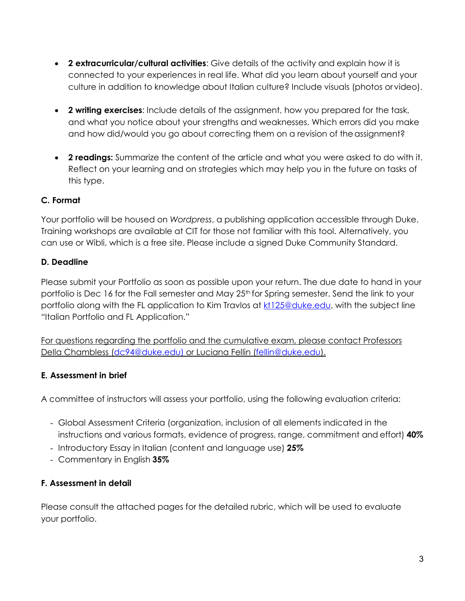- **2 extracurricular/cultural activities**: Give details of the activity and explain how it is connected to your experiences in real life. What did you learn about yourself and your culture in addition to knowledge about Italian culture? Include visuals (photos orvideo).
- **2 writing exercises**: Include details of the assignment, how you prepared for the task, and what you notice about your strengths and weaknesses. Which errors did you make and how did/would you go about correcting them on a revision of the assignment?
- **2 readings:** Summarize the content of the article and what you were asked to do with it. Reflect on your learning and on strategies which may help you in the future on tasks of this type.

## **C. Format**

Your portfolio will be housed on *Wordpress*, a publishing application accessible through Duke. Training workshops are available at CIT for those not familiar with this tool. Alternatively, you can use or Wibli, which is a free site. Please include a signed Duke Community Standard.

#### **D. Deadline**

Please submit your Portfolio as soon as possible upon your return. The due date to hand in your portfolio is Dec 16 for the Fall semester and May 25<sup>th</sup> for Spring semester. Send the link to your portfolio along with the FL application to Kim Travlos at [kt125@duke.edu,](mailto:kt125@duke.edu) with the subject line "Italian Portfolio and FL Application."

For questions regarding the portfolio and the cumulative exam, please contact Professors [Della Chambless \(dc94@duke.edu\)](mailto:DellaChambless(dc94@duke.edu) or Luciana Fellin (fellin@duke.edu).

## **E. Assessment in brief**

A committee of instructors will assess your portfolio, using the following evaluation criteria:

- Global Assessment Criteria (organization, inclusion of all elements indicated in the instructions and various formats, evidence of progress, range, commitment and effort) **40%**
- Introductory Essay in Italian (content and language use) **25%**
- Commentary in English **35%**

## **F. Assessment in detail**

Please consult the attached pages for the detailed rubric, which will be used to evaluate your portfolio.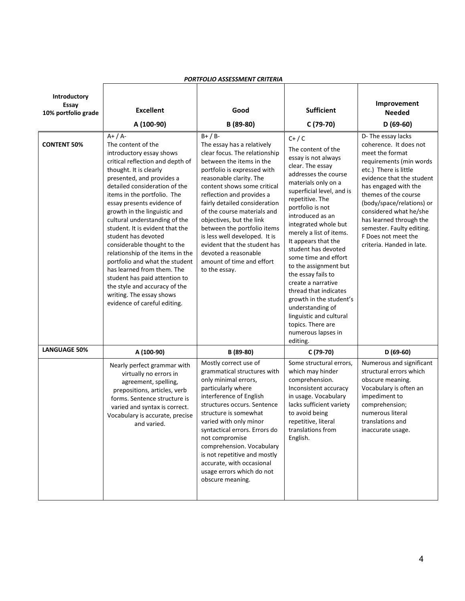|                                              | PURIFULIU ASSESSIVIENI URITERIA                                                                                                                                                                                                                                                                                                                                                                                                                                                                                                                                                                                                                  |                                                                                                                                                                                                                                                                                                                                                                                                                                                                                              |                                                                                                                                                                                                                                                                                                                                                                                                                                                                                                                                                                          |                                                                                                                                                                                                                                                                                                                                                                     |  |  |  |  |
|----------------------------------------------|--------------------------------------------------------------------------------------------------------------------------------------------------------------------------------------------------------------------------------------------------------------------------------------------------------------------------------------------------------------------------------------------------------------------------------------------------------------------------------------------------------------------------------------------------------------------------------------------------------------------------------------------------|----------------------------------------------------------------------------------------------------------------------------------------------------------------------------------------------------------------------------------------------------------------------------------------------------------------------------------------------------------------------------------------------------------------------------------------------------------------------------------------------|--------------------------------------------------------------------------------------------------------------------------------------------------------------------------------------------------------------------------------------------------------------------------------------------------------------------------------------------------------------------------------------------------------------------------------------------------------------------------------------------------------------------------------------------------------------------------|---------------------------------------------------------------------------------------------------------------------------------------------------------------------------------------------------------------------------------------------------------------------------------------------------------------------------------------------------------------------|--|--|--|--|
| Introductory<br>Essay<br>10% portfolio grade | <b>Excellent</b><br>A (100-90)                                                                                                                                                                                                                                                                                                                                                                                                                                                                                                                                                                                                                   | Good<br>B (89-80)                                                                                                                                                                                                                                                                                                                                                                                                                                                                            | <b>Sufficient</b><br>C (79-70)                                                                                                                                                                                                                                                                                                                                                                                                                                                                                                                                           | Improvement<br><b>Needed</b><br>$D(69-60)$                                                                                                                                                                                                                                                                                                                          |  |  |  |  |
| <b>CONTENT 50%</b>                           | $A+ / A-$<br>The content of the<br>introductory essay shows<br>critical reflection and depth of<br>thought. It is clearly<br>presented, and provides a<br>detailed consideration of the<br>items in the portfolio. The<br>essay presents evidence of<br>growth in the linguistic and<br>cultural understanding of the<br>student. It is evident that the<br>student has devoted<br>considerable thought to the<br>relationship of the items in the<br>portfolio and what the student<br>has learned from them. The<br>student has paid attention to<br>the style and accuracy of the<br>writing. The essay shows<br>evidence of careful editing. | $B+ / B-$<br>The essay has a relatively<br>clear focus. The relationship<br>between the items in the<br>portfolio is expressed with<br>reasonable clarity. The<br>content shows some critical<br>reflection and provides a<br>fairly detailed consideration<br>of the course materials and<br>objectives, but the link<br>between the portfolio items<br>is less well developed. It is<br>evident that the student has<br>devoted a reasonable<br>amount of time and effort<br>to the essay. | $C+ / C$<br>The content of the<br>essay is not always<br>clear. The essay<br>addresses the course<br>materials only on a<br>superficial level, and is<br>repetitive. The<br>portfolio is not<br>introduced as an<br>integrated whole but<br>merely a list of items.<br>It appears that the<br>student has devoted<br>some time and effort<br>to the assignment but<br>the essay fails to<br>create a narrative<br>thread that indicates<br>growth in the student's<br>understanding of<br>linguistic and cultural<br>topics. There are<br>numerous lapses in<br>editing. | D- The essay lacks<br>coherence. It does not<br>meet the format<br>requirements (min words<br>etc.) There is little<br>evidence that the student<br>has engaged with the<br>themes of the course<br>(body/space/relations) or<br>considered what he/she<br>has learned through the<br>semester. Faulty editing.<br>F Does not meet the<br>criteria. Handed in late. |  |  |  |  |
| <b>LANGUAGE 50%</b><br>A (100-90)            |                                                                                                                                                                                                                                                                                                                                                                                                                                                                                                                                                                                                                                                  | B (89-80)                                                                                                                                                                                                                                                                                                                                                                                                                                                                                    | C (79-70)                                                                                                                                                                                                                                                                                                                                                                                                                                                                                                                                                                | $D(69-60)$                                                                                                                                                                                                                                                                                                                                                          |  |  |  |  |
|                                              | Nearly perfect grammar with<br>virtually no errors in<br>agreement, spelling,<br>prepositions, articles, verb<br>forms. Sentence structure is<br>varied and syntax is correct.<br>Vocabulary is accurate, precise<br>and varied.                                                                                                                                                                                                                                                                                                                                                                                                                 | Mostly correct use of<br>grammatical structures with<br>only minimal errors,<br>particularly where<br>interference of English<br>structures occurs. Sentence<br>structure is somewhat<br>varied with only minor<br>syntactical errors. Errors do<br>not compromise<br>comprehension. Vocabulary<br>is not repetitive and mostly<br>accurate, with occasional<br>usage errors which do not<br>obscure meaning.                                                                                | Some structural errors,<br>which may hinder<br>comprehension.<br>Inconsistent accuracy<br>in usage. Vocabulary<br>lacks sufficient variety<br>to avoid being<br>repetitive, literal<br>translations from<br>English.                                                                                                                                                                                                                                                                                                                                                     | Numerous and significant<br>structural errors which<br>obscure meaning.<br>Vocabulary is often an<br>impediment to<br>comprehension;<br>numerous literal<br>translations and<br>inaccurate usage.                                                                                                                                                                   |  |  |  |  |

#### *PORTFOLIO ASSESSMENT CRITERIA*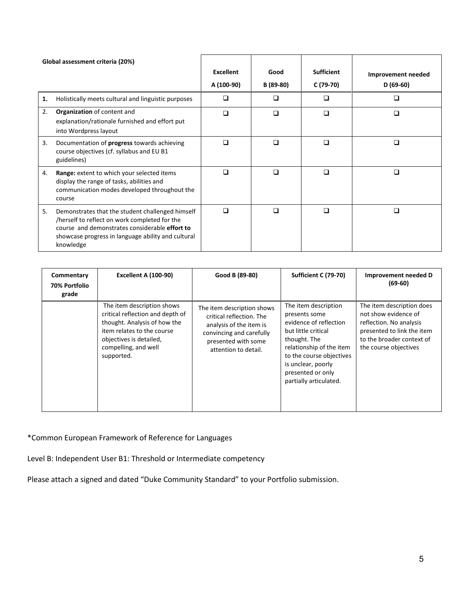| Global assessment criteria (20%) |                                                                                                                                                                                                                        |                  |           |                   |                    |
|----------------------------------|------------------------------------------------------------------------------------------------------------------------------------------------------------------------------------------------------------------------|------------------|-----------|-------------------|--------------------|
|                                  |                                                                                                                                                                                                                        | <b>Excellent</b> | Good      | <b>Sufficient</b> | Improvement needed |
|                                  |                                                                                                                                                                                                                        | A (100-90)       | B (89-80) | C (79-70)         | $D(69-60)$         |
| 1.                               | Holistically meets cultural and linguistic purposes                                                                                                                                                                    | □                | ◻         | □                 | □                  |
| 2.                               | Organization of content and<br>explanation/rationale furnished and effort put<br>into Wordpress layout                                                                                                                 | □                | □         | □                 | □                  |
| 3.                               | Documentation of progress towards achieving<br>course objectives (cf. syllabus and EU B1<br>guidelines)                                                                                                                | $\Box$           | ⊓         | ⊓                 | П                  |
| 4.                               | Range: extent to which your selected items<br>display the range of tasks, abilities and<br>communication modes developed throughout the<br>course                                                                      | $\Box$           | $\Box$    | $\Box$            | □                  |
| 5.                               | Demonstrates that the student challenged himself<br>/herself to reflect on work completed for the<br>course and demonstrates considerable effort to<br>showcase progress in language ability and cultural<br>knowledge | $\Box$           | n         | n                 | П                  |

| Commentary<br>70% Portfolio<br>grade | <b>Excellent A (100-90)</b>                                                                                                                                                                   | Good B (89-80)                                                                                                                                               | Sufficient C (79-70)                                                                                                                                                                                                                | Improvement needed D<br>$(69-60)$                                                                                                                                |
|--------------------------------------|-----------------------------------------------------------------------------------------------------------------------------------------------------------------------------------------------|--------------------------------------------------------------------------------------------------------------------------------------------------------------|-------------------------------------------------------------------------------------------------------------------------------------------------------------------------------------------------------------------------------------|------------------------------------------------------------------------------------------------------------------------------------------------------------------|
|                                      | The item description shows<br>critical reflection and depth of<br>thought. Analysis of how the<br>item relates to the course<br>objectives is detailed,<br>compelling, and well<br>supported. | The item description shows<br>critical reflection. The<br>analysis of the item is<br>convincing and carefully<br>presented with some<br>attention to detail. | The item description<br>presents some<br>evidence of reflection<br>but little critical<br>thought. The<br>relationship of the item<br>to the course objectives<br>is unclear, poorly<br>presented or only<br>partially articulated. | The item description does<br>not show evidence of<br>reflection. No analysis<br>presented to link the item<br>to the broader context of<br>the course objectives |

\*Common European Framework of Reference for Languages

Level B: Independent User B1: Threshold or Intermediate competency

Please attach a signed and dated "Duke Community Standard" to your Portfolio submission.